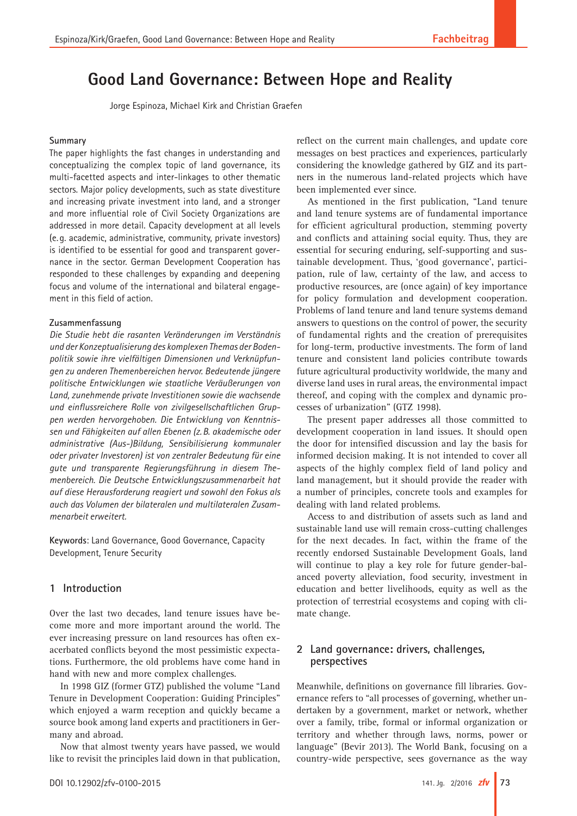# **Good Land Governance: Between Hope and Reality**

Jorge Espinoza, Michael Kirk and Christian Graefen

#### **Summary**

The paper highlights the fast changes in understanding and conceptualizing the complex topic of land governance, its multi-facetted aspects and inter-linkages to other thematic sectors. Major policy developments, such as state divestiture and increasing private investment into land, and a stronger and more influential role of Civil Society Organizations are addressed in more detail. Capacity development at all levels (e. g. academic, administrative, community, private investors) is identified to be essential for good and transparent governance in the sector. German Development Cooperation has responded to these challenges by expanding and deepening focus and volume of the international and bilateral engagement in this field of action.

#### **Zusammenfassung**

*Die Studie hebt die rasanten Veränderungen im Verständnis und der Konzeptualisierung des komplexen Themas der Bodenpolitik sowie ihre vielfältigen Dimensionen und Verknüpfungen zu anderen Themenbereichen hervor. Bedeutende jüngere politische Entwicklungen wie staatliche Veräußerungen von Land, zunehmende private Investitionen sowie die wachsende und einflussreichere Rolle von zivilgesellschaftlichen Gruppen werden hervorgehoben. Die Entwicklung von Kenntnissen und Fähigkeiten auf allen Ebenen (z.B. akademische oder administrative (Aus-)Bildung, Sensibilisierung kommunaler oder privater Investoren) ist von zentraler Bedeutung für eine gute und transparente Regierungsführung in diesem Themenbereich. Die Deutsche Entwicklungszusammenarbeit hat auf diese Herausforderung reagiert und sowohl den Fokus als auch das Volumen der bilateralen und multilateralen Zusammenarbeit erweitert.*

**Keywords**: Land Governance, Good Governance, Capacity Development, Tenure Security

# **1 Introduction**

Over the last two decades, land tenure issues have become more and more important around the world. The ever increasing pressure on land resources has often exacerbated conflicts beyond the most pessimistic expectations. Furthermore, the old problems have come hand in hand with new and more complex challenges.

In 1998 GIZ (former GTZ) published the volume "Land Tenure in Development Cooperation: Guiding Principles" which enjoyed a warm reception and quickly became a source book among land experts and practitioners in Germany and abroad.

Now that almost twenty years have passed, we would like to revisit the principles laid down in that publication, reflect on the current main challenges, and update core messages on best practices and experiences, particularly considering the knowledge gathered by GIZ and its partners in the numerous land-related projects which have been implemented ever since.

As mentioned in the first publication, "Land tenure and land tenure systems are of fundamental importance for efficient agricultural production, stemming poverty and conflicts and attaining social equity. Thus, they are essential for securing enduring, self-supporting and sustainable development. Thus, 'good governance', participation, rule of law, certainty of the law, and access to productive resources, are (once again) of key importance for policy formulation and development cooperation. Problems of land tenure and land tenure systems demand answers to questions on the control of power, the security of fundamental rights and the creation of prerequisites for long-term, productive investments. The form of land tenure and consistent land policies contribute towards future agricultural productivity worldwide, the many and diverse land uses in rural areas, the environmental impact thereof, and coping with the complex and dynamic processes of urbanization" (GTZ 1998).

The present paper addresses all those committed to development cooperation in land issues. It should open the door for intensified discussion and lay the basis for informed decision making. It is not intended to cover all aspects of the highly complex field of land policy and land management, but it should provide the reader with a number of principles, concrete tools and examples for dealing with land related problems.

Access to and distribution of assets such as land and sustainable land use will remain cross-cutting challenges for the next decades. In fact, within the frame of the recently endorsed Sustainable Development Goals, land will continue to play a key role for future gender-balanced poverty alleviation, food security, investment in education and better livelihoods, equity as well as the protection of terrestrial ecosystems and coping with climate change.

# **2 Land governance: drivers, challenges, perspectives**

Meanwhile, definitions on governance fill libraries. Governance refers to "all processes of governing, whether undertaken by a government, market or network, whether over a family, tribe, formal or informal organization or territory and whether through laws, norms, power or language" (Bevir 2013). The World Bank, focusing on a country-wide perspective, sees governance as the way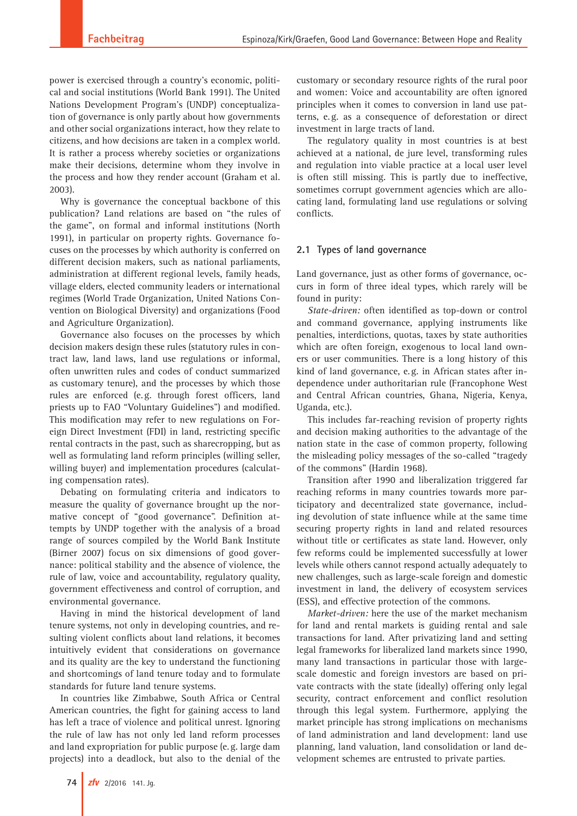power is exercised through a country's economic, political and social institutions (World Bank 1991). The United Nations Development Program's (UNDP) conceptualization of governance is only partly about how governments and other social organizations interact, how they relate to citizens, and how decisions are taken in a complex world. It is rather a process whereby societies or organizations make their decisions, determine whom they involve in the process and how they render account (Graham et al. 2003).

Why is governance the conceptual backbone of this publication? Land relations are based on "the rules of the game", on formal and informal institutions (North 1991), in particular on property rights. Governance focuses on the processes by which authority is conferred on different decision makers, such as national parliaments, administration at different regional levels, family heads, village elders, elected community leaders or international regimes (World Trade Organization, United Nations Convention on Biological Diversity) and organizations (Food and Agriculture Organization).

Governance also focuses on the processes by which decision makers design these rules (statutory rules in contract law, land laws, land use regulations or informal, often unwritten rules and codes of conduct summarized as customary tenure), and the processes by which those rules are enforced (e.g. through forest officers, land priests up to FAO "Voluntary Guidelines") and modified. This modification may refer to new regulations on Foreign Direct Investment (FDI) in land, restricting specific rental contracts in the past, such as sharecropping, but as well as formulating land reform principles (willing seller, willing buyer) and implementation procedures (calculating compensation rates).

Debating on formulating criteria and indicators to measure the quality of governance brought up the normative concept of "good governance". Definition attempts by UNDP together with the analysis of a broad range of sources compiled by the World Bank Institute (Birner 2007) focus on six dimensions of good governance: political stability and the absence of violence, the rule of law, voice and accountability, regulatory quality, government effectiveness and control of corruption, and environmental governance.

Having in mind the historical development of land tenure systems, not only in developing countries, and resulting violent conflicts about land relations, it becomes intuitively evident that considerations on governance and its quality are the key to understand the functioning and shortcomings of land tenure today and to formulate standards for future land tenure systems.

In countries like Zimbabwe, South Africa or Central American countries, the fight for gaining access to land has left a trace of violence and political unrest. Ignoring the rule of law has not only led land reform processes and land expropriation for public purpose (e.g. large dam projects) into a deadlock, but also to the denial of the

customary or secondary resource rights of the rural poor and women: Voice and accountability are often ignored principles when it comes to conversion in land use patterns, e.g. as a consequence of deforestation or direct investment in large tracts of land.

The regulatory quality in most countries is at best achieved at a national, de jure level, transforming rules and regulation into viable practice at a local user level is often still missing. This is partly due to ineffective, sometimes corrupt government agencies which are allocating land, formulating land use regulations or solving conflicts.

## **2.1 Types of land governance**

Land governance, just as other forms of governance, occurs in form of three ideal types, which rarely will be found in purity:

*State-driven:* often identified as top-down or control and command governance, applying instruments like penalties, interdictions, quotas, taxes by state authorities which are often foreign, exogenous to local land owners or user communities. There is a long history of this kind of land governance, e.g. in African states after independence under authoritarian rule (Francophone West and Central African countries, Ghana, Nigeria, Kenya, Uganda, etc.).

This includes far-reaching revision of property rights and decision making authorities to the advantage of the nation state in the case of common property, following the misleading policy messages of the so-called "tragedy of the commons" (Hardin 1968).

Transition after 1990 and liberalization triggered far reaching reforms in many countries towards more participatory and decentralized state governance, including devolution of state influence while at the same time securing property rights in land and related resources without title or certificates as state land. However, only few reforms could be implemented successfully at lower levels while others cannot respond actually adequately to new challenges, such as large-scale foreign and domestic investment in land, the delivery of ecosystem services (ESS), and effective protection of the commons.

*Market-driven:* here the use of the market mechanism for land and rental markets is guiding rental and sale transactions for land. After privatizing land and setting legal frameworks for liberalized land markets since 1990, many land transactions in particular those with largescale domestic and foreign investors are based on private contracts with the state (ideally) offering only legal security, contract enforcement and conflict resolution through this legal system. Furthermore, applying the market principle has strong implications on mechanisms of land administration and land development: land use planning, land valuation, land consolidation or land development schemes are entrusted to private parties.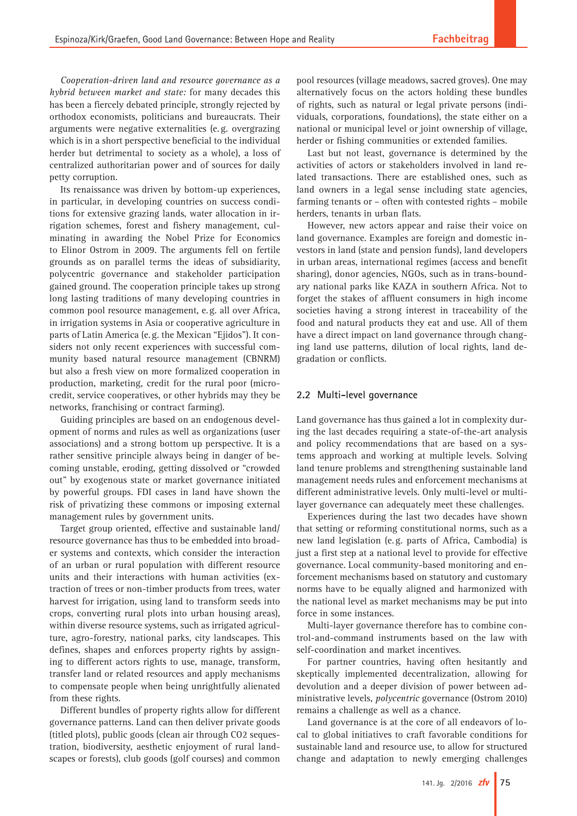*Cooperation-driven land and resource governance as a hybrid between market and state:* for many decades this has been a fiercely debated principle, strongly rejected by orthodox economists, politicians and bureaucrats. Their arguments were negative externalities (e.g. overgrazing which is in a short perspective beneficial to the individual herder but detrimental to society as a whole), a loss of centralized authoritarian power and of sources for daily petty corruption.

Its renaissance was driven by bottom-up experiences, in particular, in developing countries on success conditions for extensive grazing lands, water allocation in irrigation schemes, forest and fishery management, culminating in awarding the Nobel Prize for Economics to Elinor Ostrom in 2009. The arguments fell on fertile grounds as on parallel terms the ideas of subsidiarity, polycentric governance and stakeholder participation gained ground. The cooperation principle takes up strong long lasting traditions of many developing countries in common pool resource management, e.g. all over Africa, in irrigation systems in Asia or cooperative agriculture in parts of Latin America (e.g. the Mexican "Ejidos"). It considers not only recent experiences with successful community based natural resource management (CBNRM) but also a fresh view on more formalized cooperation in production, marketing, credit for the rural poor (microcredit, service cooperatives, or other hybrids may they be networks, franchising or contract farming).

Guiding principles are based on an endogenous development of norms and rules as well as organizations (user associations) and a strong bottom up perspective. It is a rather sensitive principle always being in danger of becoming unstable, eroding, getting dissolved or "crowded out" by exogenous state or market governance initiated by powerful groups. FDI cases in land have shown the risk of privatizing these commons or imposing external management rules by government units.

Target group oriented, effective and sustainable land/ resource governance has thus to be embedded into broader systems and contexts, which consider the interaction of an urban or rural population with different resource units and their interactions with human activities (extraction of trees or non-timber products from trees, water harvest for irrigation, using land to transform seeds into crops, converting rural plots into urban housing areas), within diverse resource systems, such as irrigated agriculture, agro-forestry, national parks, city landscapes. This defines, shapes and enforces property rights by assigning to different actors rights to use, manage, transform, transfer land or related resources and apply mechanisms to compensate people when being unrightfully alienated from these rights.

Different bundles of property rights allow for different governance patterns. Land can then deliver private goods (titled plots), public goods (clean air through CO2 sequestration, biodiversity, aesthetic enjoyment of rural landscapes or forests), club goods (golf courses) and common pool resources (village meadows, sacred groves). One may alternatively focus on the actors holding these bundles of rights, such as natural or legal private persons (individuals, corporations, foundations), the state either on a national or municipal level or joint ownership of village, herder or fishing communities or extended families.

Last but not least, governance is determined by the activities of actors or stakeholders involved in land related transactions. There are established ones, such as land owners in a legal sense including state agencies, farming tenants or – often with contested rights – mobile herders, tenants in urban flats.

However, new actors appear and raise their voice on land governance. Examples are foreign and domestic investors in land (state and pension funds), land developers in urban areas, international regimes (access and benefit sharing), donor agencies, NGOs, such as in trans-boundary national parks like KAZA in southern Africa. Not to forget the stakes of affluent consumers in high income societies having a strong interest in traceability of the food and natural products they eat and use. All of them have a direct impact on land governance through changing land use patterns, dilution of local rights, land degradation or conflicts.

#### **2.2 Multi-level governance**

Land governance has thus gained a lot in complexity during the last decades requiring a state-of-the-art analysis and policy recommendations that are based on a systems approach and working at multiple levels. Solving land tenure problems and strengthening sustainable land management needs rules and enforcement mechanisms at different administrative levels. Only multi-level or multilayer governance can adequately meet these challenges.

Experiences during the last two decades have shown that setting or reforming constitutional norms, such as a new land legislation (e.g. parts of Africa, Cambodia) is just a first step at a national level to provide for effective governance. Local community-based monitoring and enforcement mechanisms based on statutory and customary norms have to be equally aligned and harmonized with the national level as market mechanisms may be put into force in some instances.

Multi-layer governance therefore has to combine control-and-command instruments based on the law with self-coordination and market incentives.

For partner countries, having often hesitantly and skeptically implemented decentralization, allowing for devolution and a deeper division of power between administrative levels, *polycentric* governance (Ostrom 2010) remains a challenge as well as a chance.

Land governance is at the core of all endeavors of local to global initiatives to craft favorable conditions for sustainable land and resource use, to allow for structured change and adaptation to newly emerging challenges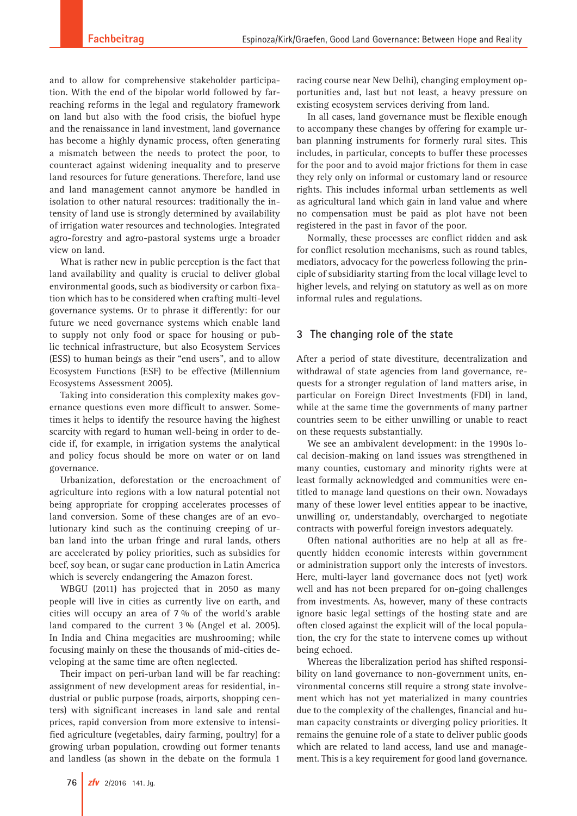and to allow for comprehensive stakeholder participation. With the end of the bipolar world followed by farreaching reforms in the legal and regulatory framework on land but also with the food crisis, the biofuel hype and the renaissance in land investment, land governance has become a highly dynamic process, often generating a mismatch between the needs to protect the poor, to counteract against widening inequality and to preserve land resources for future generations. Therefore, land use and land management cannot anymore be handled in isolation to other natural resources: traditionally the intensity of land use is strongly determined by availability of irrigation water resources and technologies. Integrated agro-forestry and agro-pastoral systems urge a broader view on land.

What is rather new in public perception is the fact that land availability and quality is crucial to deliver global environmental goods, such as biodiversity or carbon fixation which has to be considered when crafting multi-level governance systems. Or to phrase it differently: for our future we need governance systems which enable land to supply not only food or space for housing or public technical infrastructure, but also Ecosystem Services (ESS) to human beings as their "end users", and to allow Ecosystem Functions (ESF) to be effective (Millennium Ecosystems Assessment 2005).

Taking into consideration this complexity makes governance questions even more difficult to answer. Sometimes it helps to identify the resource having the highest scarcity with regard to human well-being in order to decide if, for example, in irrigation systems the analytical and policy focus should be more on water or on land governance.

Urbanization, deforestation or the encroachment of agriculture into regions with a low natural potential not being appropriate for cropping accelerates processes of land conversion. Some of these changes are of an evolutionary kind such as the continuing creeping of urban land into the urban fringe and rural lands, others are accelerated by policy priorities, such as subsidies for beef, soy bean, or sugar cane production in Latin America which is severely endangering the Amazon forest.

WBGU (2011) has projected that in 2050 as many people will live in cities as currently live on earth, and cities will occupy an area of 7 % of the world's arable land compared to the current 3 % (Angel et al. 2005). In India and China megacities are mushrooming; while focusing mainly on these the thousands of mid-cities developing at the same time are often neglected.

Their impact on peri-urban land will be far reaching: assignment of new development areas for residential, industrial or public purpose (roads, airports, shopping centers) with significant increases in land sale and rental prices, rapid conversion from more extensive to intensified agriculture (vegetables, dairy farming, poultry) for a growing urban population, crowding out former tenants and landless (as shown in the debate on the formula 1

racing course near New Delhi), changing employment opportunities and, last but not least, a heavy pressure on existing ecosystem services deriving from land.

In all cases, land governance must be flexible enough to accompany these changes by offering for example urban planning instruments for formerly rural sites. This includes, in particular, concepts to buffer these processes for the poor and to avoid major frictions for them in case they rely only on informal or customary land or resource rights. This includes informal urban settlements as well as agricultural land which gain in land value and where no compensation must be paid as plot have not been registered in the past in favor of the poor.

Normally, these processes are conflict ridden and ask for conflict resolution mechanisms, such as round tables, mediators, advocacy for the powerless following the principle of subsidiarity starting from the local village level to higher levels, and relying on statutory as well as on more informal rules and regulations.

## **3 The changing role of the state**

After a period of state divestiture, decentralization and withdrawal of state agencies from land governance, requests for a stronger regulation of land matters arise, in particular on Foreign Direct Investments (FDI) in land, while at the same time the governments of many partner countries seem to be either unwilling or unable to react on these requests substantially.

We see an ambivalent development: in the 1990s local decision-making on land issues was strengthened in many counties, customary and minority rights were at least formally acknowledged and communities were entitled to manage land questions on their own. Nowadays many of these lower level entities appear to be inactive, unwilling or, understandably, overcharged to negotiate contracts with powerful foreign investors adequately.

Often national authorities are no help at all as frequently hidden economic interests within government or administration support only the interests of investors. Here, multi-layer land governance does not (yet) work well and has not been prepared for on-going challenges from investments. As, however, many of these contracts ignore basic legal settings of the hosting state and are often closed against the explicit will of the local population, the cry for the state to intervene comes up without being echoed.

Whereas the liberalization period has shifted responsibility on land governance to non-government units, environmental concerns still require a strong state involvement which has not yet materialized in many countries due to the complexity of the challenges, financial and human capacity constraints or diverging policy priorities. It remains the genuine role of a state to deliver public goods which are related to land access, land use and management. This is a key requirement for good land governance.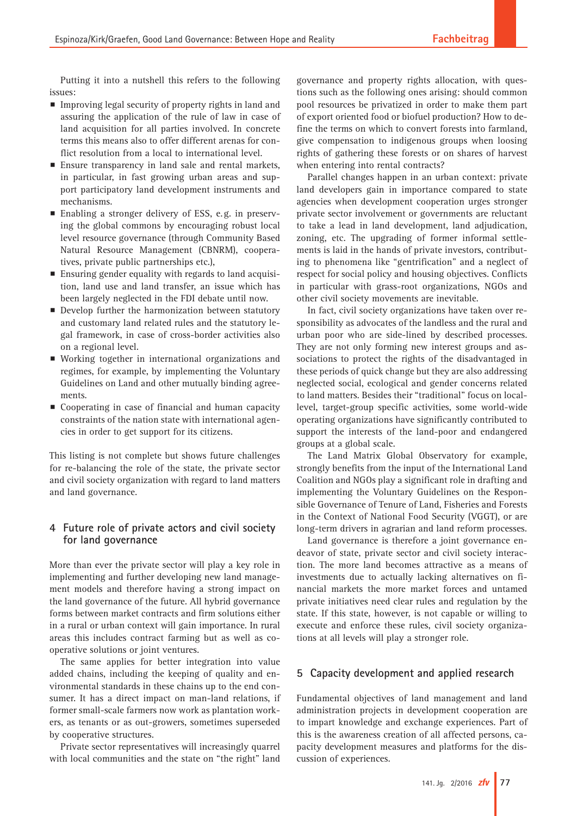Putting it into a nutshell this refers to the following issues:

- $\blacksquare$  Improving legal security of property rights in land and assuring the application of the rule of law in case of land acquisition for all parties involved. In concrete terms this means also to offer different arenas for conflict resolution from a local to international level.
- $\blacksquare$  Ensure transparency in land sale and rental markets, in particular, in fast growing urban areas and support participatory land development instruments and mechanisms.
- Enabling a stronger delivery of ESS, e.g. in preserving the global commons by encouraging robust local level resource governance (through Community Based Natural Resource Management (CBNRM), cooperatives, private public partnerships etc.),
- **Ensuring gender equality with regards to land acquisi**tion, land use and land transfer, an issue which has been largely neglected in the FDI debate until now.
- **P** Develop further the harmonization between statutory and customary land related rules and the statutory legal framework, in case of cross-border activities also on a regional level.
- p Working together in international organizations and regimes, for example, by implementing the Voluntary Guidelines on Land and other mutually binding agreements.
- $\blacksquare$  Cooperating in case of financial and human capacity constraints of the nation state with international agencies in order to get support for its citizens.

This listing is not complete but shows future challenges for re-balancing the role of the state, the private sector and civil society organization with regard to land matters and land governance.

# **4 Future role of private actors and civil society for land governance**

More than ever the private sector will play a key role in implementing and further developing new land management models and therefore having a strong impact on the land governance of the future. All hybrid governance forms between market contracts and firm solutions either in a rural or urban context will gain importance. In rural areas this includes contract farming but as well as cooperative solutions or joint ventures.

The same applies for better integration into value added chains, including the keeping of quality and environmental standards in these chains up to the end consumer. It has a direct impact on man-land relations, if former small-scale farmers now work as plantation workers, as tenants or as out-growers, sometimes superseded by cooperative structures.

Private sector representatives will increasingly quarrel with local communities and the state on "the right" land

governance and property rights allocation, with questions such as the following ones arising: should common pool resources be privatized in order to make them part of export oriented food or biofuel production? How to define the terms on which to convert forests into farmland, give compensation to indigenous groups when loosing rights of gathering these forests or on shares of harvest when entering into rental contracts?

Parallel changes happen in an urban context: private land developers gain in importance compared to state agencies when development cooperation urges stronger private sector involvement or governments are reluctant to take a lead in land development, land adjudication, zoning, etc. The upgrading of former informal settlements is laid in the hands of private investors, contributing to phenomena like "gentrification" and a neglect of respect for social policy and housing objectives. Conflicts in particular with grass-root organizations, NGOs and other civil society movements are inevitable.

In fact, civil society organizations have taken over responsibility as advocates of the landless and the rural and urban poor who are side-lined by described processes. They are not only forming new interest groups and associations to protect the rights of the disadvantaged in these periods of quick change but they are also addressing neglected social, ecological and gender concerns related to land matters. Besides their "traditional" focus on locallevel, target-group specific activities, some world-wide operating organizations have significantly contributed to support the interests of the land-poor and endangered groups at a global scale.

The Land Matrix Global Observatory for example, strongly benefits from the input of the International Land Coalition and NGOs play a significant role in drafting and implementing the Voluntary Guidelines on the Responsible Governance of Tenure of Land, Fisheries and Forests in the Context of National Food Security (VGGT), or are long-term drivers in agrarian and land reform processes.

Land governance is therefore a joint governance endeavor of state, private sector and civil society interaction. The more land becomes attractive as a means of investments due to actually lacking alternatives on financial markets the more market forces and untamed private initiatives need clear rules and regulation by the state. If this state, however, is not capable or willing to execute and enforce these rules, civil society organizations at all levels will play a stronger role.

## **5 Capacity development and applied research**

Fundamental objectives of land management and land administration projects in development cooperation are to impart knowledge and exchange experiences. Part of this is the awareness creation of all affected persons, capacity development measures and platforms for the discussion of experiences.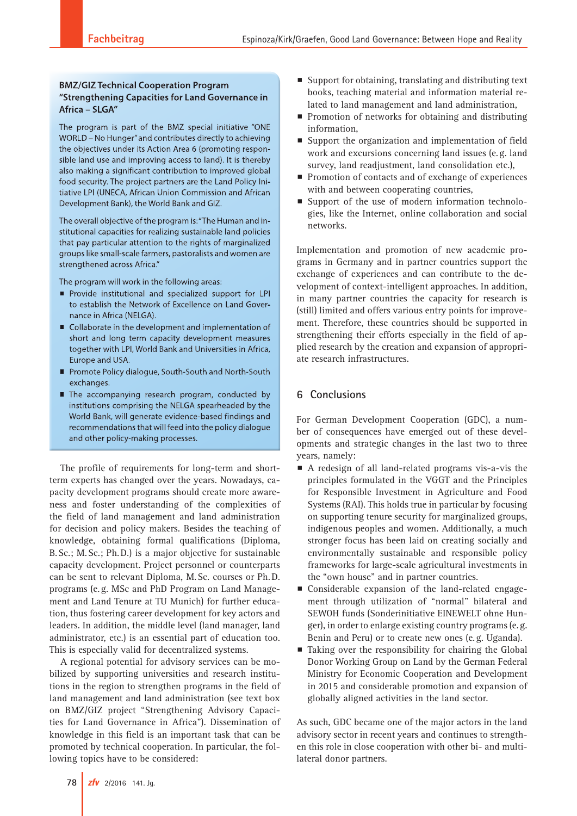# **BMZ/GIZ Technical Cooperation Program** "Strengthening Capacities for Land Governance in Africa - SLGA"

The program is part of the BMZ special initiative "ONE WORLD - No Hunger" and contributes directly to achieving the objectives under its Action Area 6 (promoting responsible land use and improving access to land). It is thereby also making a significant contribution to improved global food security. The project partners are the Land Policy Initiative LPI (UNECA, African Union Commission and African Development Bank), the World Bank and GIZ.

The overall objective of the program is: "The Human and institutional capacities for realizing sustainable land policies that pay particular attention to the rights of marginalized groups like small-scale farmers, pastoralists and women are strengthened across Africa."

The program will work in the following areas:

- Provide institutional and specialized support for LPI to establish the Network of Excellence on Land Governance in Africa (NELGA).
- Collaborate in the development and implementation of short and long term capacity development measures together with LPI, World Bank and Universities in Africa, Europe and USA.
- Promote Policy dialogue, South-South and North-South exchanges.
- The accompanying research program, conducted by institutions comprising the NELGA spearheaded by the World Bank, will generate evidence-based findings and recommendations that will feed into the policy dialogue and other policy-making processes.

The profile of requirements for long-term and shortterm experts has changed over the years. Nowadays, capacity development programs should create more awareness and foster understanding of the complexities of the field of land management and land administration for decision and policy makers. Besides the teaching of knowledge, obtaining formal qualifications (Diploma, B.Sc.; M.Sc.; Ph.D.) is a major objective for sustainable capacity development. Project personnel or counterparts can be sent to relevant Diploma, M.Sc. courses or Ph.D. programs (e.g. MSc and PhD Program on Land Management and Land Tenure at TU Munich) for further education, thus fostering career development for key actors and leaders. In addition, the middle level (land manager, land administrator, etc.) is an essential part of education too. This is especially valid for decentralized systems.

A regional potential for advisory services can be mobilized by supporting universities and research institutions in the region to strengthen programs in the field of land management and land administration (see text box on BMZ/GIZ project "Strengthening Advisory Capacities for Land Governance in Africa"). Dissemination of knowledge in this field is an important task that can be promoted by technical cooperation. In particular, the following topics have to be considered:

- **P** Support for obtaining, translating and distributing text books, teaching material and information material related to land management and land administration,
- $\blacksquare$  Promotion of networks for obtaining and distributing information,
- $\blacksquare$  Support the organization and implementation of field work and excursions concerning land issues (e.g. land survey, land readjustment, land consolidation etc.),
- $\blacksquare$  Promotion of contacts and of exchange of experiences with and between cooperating countries,
- Support of the use of modern information technologies, like the Internet, online collaboration and social networks.

Implementation and promotion of new academic programs in Germany and in partner countries support the exchange of experiences and can contribute to the development of context-intelligent approaches. In addition, in many partner countries the capacity for research is (still) limited and offers various entry points for improvement. Therefore, these countries should be supported in strengthening their efforts especially in the field of applied research by the creation and expansion of appropriate research infrastructures.

# **6 Conclusions**

For German Development Cooperation (GDC), a number of consequences have emerged out of these developments and strategic changes in the last two to three years, namely:

- A redesign of all land-related programs vis-a-vis the principles formulated in the VGGT and the Principles for Responsible Investment in Agriculture and Food Systems (RAI). This holds true in particular by focusing on supporting tenure security for marginalized groups, indigenous peoples and women. Additionally, a much stronger focus has been laid on creating socially and environmentally sustainable and responsible policy frameworks for large-scale agricultural investments in the "own house" and in partner countries.
- $\blacksquare$  Considerable expansion of the land-related engagement through utilization of "normal" bilateral and SEWOH funds (Sonderinitiative EINEWELT ohne Hunger), in order to enlarge existing country programs (e.g. Benin and Peru) or to create new ones (e.g. Uganda).
- $\blacksquare$  Taking over the responsibility for chairing the Global Donor Working Group on Land by the German Federal Ministry for Economic Cooperation and Development in 2015 and considerable promotion and expansion of globally aligned activities in the land sector.

As such, GDC became one of the major actors in the land advisory sector in recent years and continues to strengthen this role in close cooperation with other bi- and multilateral donor partners.